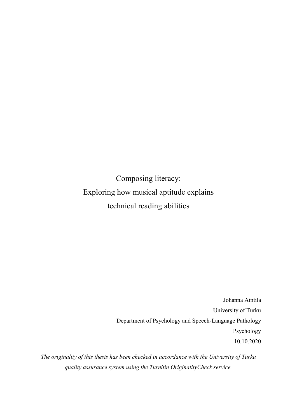Composing literacy: Exploring how musical aptitude explains technical reading abilities

> Johanna Aintila University of Turku Department of Psychology and Speech-Language Pathology Psychology 10.10.2020

*The originality of this thesis has been checked in accordance with the University of Turku quality assurance system using the Turnitin OriginalityCheck service.*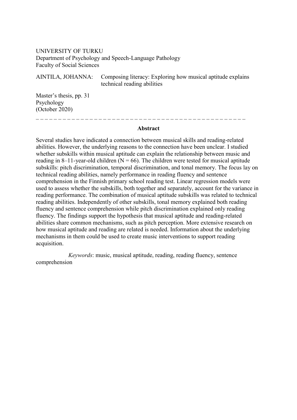# UNIVERSITY OF TURKU Department of Psychology and Speech-Language Pathology Faculty of Social Sciences

AINTILA, JOHANNA: Composing literacy: Exploring how musical aptitude explains technical reading abilities

Master's thesis, pp. 31 Psychology (October 2020)

# **Abstract**

 $\mathcal{L} = \{ \mathcal{L} \mid \mathcal{L} = \{ \mathcal{L} \mid \mathcal{L} = \{ \mathcal{L} \mid \mathcal{L} = \{ \mathcal{L} \mid \mathcal{L} = \{ \mathcal{L} \mid \mathcal{L} = \{ \mathcal{L} \mid \mathcal{L} = \{ \mathcal{L} \mid \mathcal{L} = \{ \mathcal{L} \mid \mathcal{L} = \{ \mathcal{L} \mid \mathcal{L} = \{ \mathcal{L} \mid \mathcal{L} = \{ \mathcal{L} \mid \mathcal{L} = \{ \mathcal{L} \mid \mathcal{L} = \{ \mathcal{L} \$ 

Several studies have indicated a connection between musical skills and reading-related abilities. However, the underlying reasons to the connection have been unclear. I studied whether subskills within musical aptitude can explain the relationship between music and reading in 8–11-year-old children ( $N = 66$ ). The children were tested for musical aptitude subskills: pitch discrimination, temporal discrimination, and tonal memory. The focus lay on technical reading abilities, namely performance in reading fluency and sentence comprehension in the Finnish primary school reading test. Linear regression models were used to assess whether the subskills, both together and separately, account for the variance in reading performance. The combination of musical aptitude subskills was related to technical reading abilities. Independently of other subskills, tonal memory explained both reading fluency and sentence comprehension while pitch discrimination explained only reading fluency. The findings support the hypothesis that musical aptitude and reading-related abilities share common mechanisms, such as pitch perception. More extensive research on how musical aptitude and reading are related is needed. Information about the underlying mechanisms in them could be used to create music interventions to support reading acquisition.

*Keywords*: music, musical aptitude, reading, reading fluency, sentence comprehension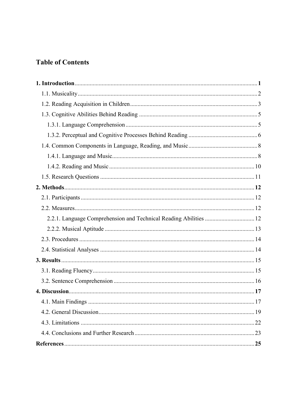# **Table of Contents**

| 2.2.1. Language Comprehension and Technical Reading Abilities  12 |  |
|-------------------------------------------------------------------|--|
|                                                                   |  |
|                                                                   |  |
|                                                                   |  |
|                                                                   |  |
|                                                                   |  |
|                                                                   |  |
|                                                                   |  |
|                                                                   |  |
|                                                                   |  |
|                                                                   |  |
|                                                                   |  |
|                                                                   |  |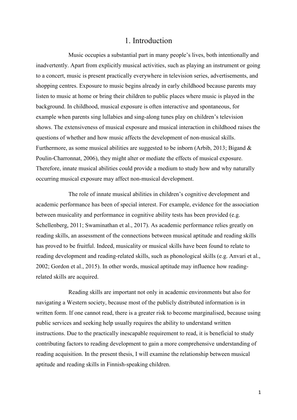# 1. Introduction

Music occupies a substantial part in many people's lives, both intentionally and inadvertently. Apart from explicitly musical activities, such as playing an instrument or going to a concert, music is present practically everywhere in television series, advertisements, and shopping centres. Exposure to music begins already in early childhood because parents may listen to music at home or bring their children to public places where music is played in the background. In childhood, musical exposure is often interactive and spontaneous, for example when parents sing lullabies and sing-along tunes play on children's television shows. The extensiveness of musical exposure and musical interaction in childhood raises the questions of whether and how music affects the development of non-musical skills. Furthermore, as some musical abilities are suggested to be inborn (Arbib, 2013; Bigand & Poulin-Charronnat, 2006), they might alter or mediate the effects of musical exposure. Therefore, innate musical abilities could provide a medium to study how and why naturally occurring musical exposure may affect non-musical development.

The role of innate musical abilities in children's cognitive development and academic performance has been of special interest. For example, evidence for the association between musicality and performance in cognitive ability tests has been provided (e.g. Schellenberg, 2011; Swaminathan et al., 2017). As academic performance relies greatly on reading skills, an assessment of the connections between musical aptitude and reading skills has proved to be fruitful. Indeed, musicality or musical skills have been found to relate to reading development and reading-related skills, such as phonological skills (e.g. Anvari et al., 2002; Gordon et al., 2015). In other words, musical aptitude may influence how readingrelated skills are acquired.

Reading skills are important not only in academic environments but also for navigating a Western society, because most of the publicly distributed information is in written form. If one cannot read, there is a greater risk to become marginalised, because using public services and seeking help usually requires the ability to understand written instructions. Due to the practically inescapable requirement to read, it is beneficial to study contributing factors to reading development to gain a more comprehensive understanding of reading acquisition. In the present thesis, I will examine the relationship between musical aptitude and reading skills in Finnish-speaking children.

1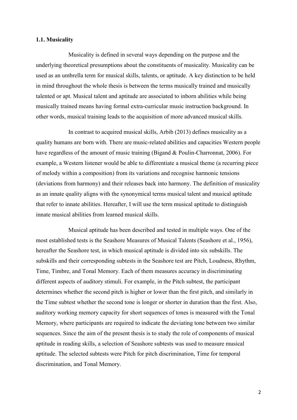# **1.1. Musicality**

Musicality is defined in several ways depending on the purpose and the underlying theoretical presumptions about the constituents of musicality. Musicality can be used as an umbrella term for musical skills, talents, or aptitude. A key distinction to be held in mind throughout the whole thesis is between the terms musically trained and musically talented or apt. Musical talent and aptitude are associated to inborn abilities while being musically trained means having formal extra-curricular music instruction background. In other words, musical training leads to the acquisition of more advanced musical skills.

In contrast to acquired musical skills, Arbib (2013) defines musicality as a quality humans are born with. There are music-related abilities and capacities Western people have regardless of the amount of music training (Bigand & Poulin-Charronnat, 2006). For example, a Western listener would be able to differentiate a musical theme (a recurring piece of melody within a composition) from its variations and recognise harmonic tensions (deviations from harmony) and their releases back into harmony. The definition of musicality as an innate quality aligns with the synonymical terms musical talent and musical aptitude that refer to innate abilities. Hereafter, I will use the term musical aptitude to distinguish innate musical abilities from learned musical skills.

Musical aptitude has been described and tested in multiple ways. One of the most established tests is the Seashore Measures of Musical Talents (Seashore et al., 1956), hereafter the Seashore test, in which musical aptitude is divided into six subskills. The subskills and their corresponding subtests in the Seashore test are Pitch, Loudness, Rhythm, Time, Timbre, and Tonal Memory. Each of them measures accuracy in discriminating different aspects of auditory stimuli. For example, in the Pitch subtest, the participant determines whether the second pitch is higher or lower than the first pitch, and similarly in the Time subtest whether the second tone is longer or shorter in duration than the first. Also, auditory working memory capacity for short sequences of tones is measured with the Tonal Memory, where participants are required to indicate the deviating tone between two similar sequences. Since the aim of the present thesis is to study the role of components of musical aptitude in reading skills, a selection of Seashore subtests was used to measure musical aptitude. The selected subtests were Pitch for pitch discrimination, Time for temporal discrimination, and Tonal Memory.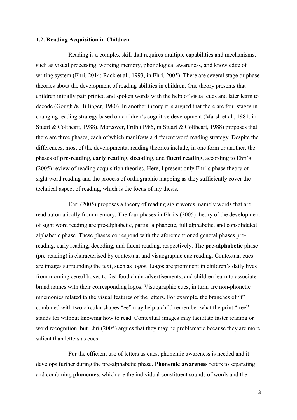#### **1.2. Reading Acquisition in Children**

Reading is a complex skill that requires multiple capabilities and mechanisms, such as visual processing, working memory, phonological awareness, and knowledge of writing system (Ehri, 2014; Rack et al., 1993, in Ehri, 2005). There are several stage or phase theories about the development of reading abilities in children. One theory presents that children initially pair printed and spoken words with the help of visual cues and later learn to decode (Gough & Hillinger, 1980). In another theory it is argued that there are four stages in changing reading strategy based on children's cognitive development (Marsh et al., 1981, in Stuart & Coltheart, 1988). Moreover, Frith (1985, in Stuart & Coltheart, 1988) proposes that there are three phases, each of which manifests a different word reading strategy. Despite the differences, most of the developmental reading theories include, in one form or another, the phases of **pre-reading**, **early reading**, **decoding**, and **fluent reading**, according to Ehri's (2005) review of reading acquisition theories. Here, I present only Ehri's phase theory of sight word reading and the process of orthographic mapping as they sufficiently cover the technical aspect of reading, which is the focus of my thesis.

Ehri (2005) proposes a theory of reading sight words, namely words that are read automatically from memory. The four phases in Ehri's (2005) theory of the development of sight word reading are pre-alphabetic, partial alphabetic, full alphabetic, and consolidated alphabetic phase. These phases correspond with the aforementioned general phases prereading, early reading, decoding, and fluent reading, respectively. The **pre-alphabetic** phase (pre-reading) is characterised by contextual and visuographic cue reading. Contextual cues are images surrounding the text, such as logos. Logos are prominent in children's daily lives from morning cereal boxes to fast food chain advertisements, and children learn to associate brand names with their corresponding logos. Visuographic cues, in turn, are non-phonetic mnemonics related to the visual features of the letters. For example, the branches of "t" combined with two circular shapes "ee" may help a child remember what the print "tree" stands for without knowing how to read. Contextual images may facilitate faster reading or word recognition, but Ehri (2005) argues that they may be problematic because they are more salient than letters as cues.

For the efficient use of letters as cues, phonemic awareness is needed and it develops further during the pre-alphabetic phase. **Phonemic awareness** refers to separating and combining **phonemes**, which are the individual constituent sounds of words and the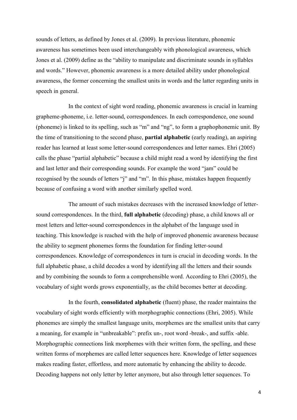sounds of letters, as defined by Jones et al. (2009). In previous literature, phonemic awareness has sometimes been used interchangeably with phonological awareness, which Jones et al. (2009) define as the "ability to manipulate and discriminate sounds in syllables and words." However, phonemic awareness is a more detailed ability under phonological awareness, the former concerning the smallest units in words and the latter regarding units in speech in general.

In the context of sight word reading, phonemic awareness is crucial in learning grapheme-phoneme, i.e. letter-sound, correspondences. In each correspondence, one sound (phoneme) is linked to its spelling, such as "m" and "ng", to form a graphophonemic unit. By the time of transitioning to the second phase, **partial alphabetic** (early reading), an aspiring reader has learned at least some letter-sound correspondences and letter names. Ehri (2005) calls the phase "partial alphabetic" because a child might read a word by identifying the first and last letter and their corresponding sounds. For example the word "jam" could be recognised by the sounds of letters "j" and "m". In this phase, mistakes happen frequently because of confusing a word with another similarly spelled word.

The amount of such mistakes decreases with the increased knowledge of lettersound correspondences. In the third, **full alphabetic** (decoding) phase, a child knows all or most letters and letter-sound correspondences in the alphabet of the language used in teaching. This knowledge is reached with the help of improved phonemic awareness because the ability to segment phonemes forms the foundation for finding letter-sound correspondences. Knowledge of correspondences in turn is crucial in decoding words. In the full alphabetic phase, a child decodes a word by identifying all the letters and their sounds and by combining the sounds to form a comprehensible word. According to Ehri (2005), the vocabulary of sight words grows exponentially, as the child becomes better at decoding.

In the fourth, **consolidated alphabetic** (fluent) phase, the reader maintains the vocabulary of sight words efficiently with morphographic connections (Ehri, 2005). While phonemes are simply the smallest language units, morphemes are the smallest units that carry a meaning, for example in "unbreakable": prefix un-, root word -break-, and suffix -able. Morphographic connections link morphemes with their written form, the spelling, and these written forms of morphemes are called letter sequences here. Knowledge of letter sequences makes reading faster, effortless, and more automatic by enhancing the ability to decode. Decoding happens not only letter by letter anymore, but also through letter sequences. To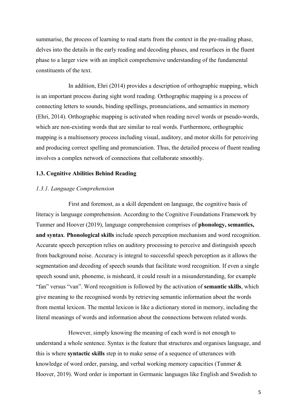summarise, the process of learning to read starts from the context in the pre-reading phase, delves into the details in the early reading and decoding phases, and resurfaces in the fluent phase to a larger view with an implicit comprehensive understanding of the fundamental constituents of the text.

In addition, Ehri (2014) provides a description of orthographic mapping, which is an important process during sight word reading. Orthographic mapping is a process of connecting letters to sounds, binding spellings, pronunciations, and semantics in memory (Ehri, 2014). Orthographic mapping is activated when reading novel words or pseudo-words, which are non-existing words that are similar to real words. Furthermore, orthographic mapping is a multisensory process including visual, auditory, and motor skills for perceiving and producing correct spelling and pronunciation. Thus, the detailed process of fluent reading involves a complex network of connections that collaborate smoothly.

# **1.3. Cognitive Abilities Behind Reading**

#### *1.3.1. Language Comprehension*

First and foremost, as a skill dependent on language, the cognitive basis of literacy is language comprehension. According to the Cognitive Foundations Framework by Tunmer and Hoover (2019), language comprehension comprises of **phonology, semantics, and syntax**. **Phonological skills** include speech perception mechanism and word recognition. Accurate speech perception relies on auditory processing to perceive and distinguish speech from background noise. Accuracy is integral to successful speech perception as it allows the segmentation and decoding of speech sounds that facilitate word recognition. If even a single speech sound unit, phoneme, is misheard, it could result in a misunderstanding, for example "fan" versus "van". Word recognition is followed by the activation of **semantic skills**, which give meaning to the recognised words by retrieving semantic information about the words from mental lexicon. The mental lexicon is like a dictionary stored in memory, including the literal meanings of words and information about the connections between related words.

However, simply knowing the meaning of each word is not enough to understand a whole sentence. Syntax is the feature that structures and organises language, and this is where **syntactic skills** step in to make sense of a sequence of utterances with knowledge of word order, parsing, and verbal working memory capacities (Tunmer & Hoover, 2019). Word order is important in Germanic languages like English and Swedish to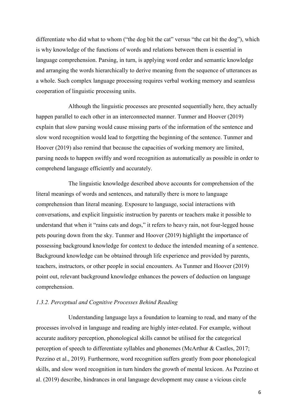differentiate who did what to whom ("the dog bit the cat" versus "the cat bit the dog"), which is why knowledge of the functions of words and relations between them is essential in language comprehension. Parsing, in turn, is applying word order and semantic knowledge and arranging the words hierarchically to derive meaning from the sequence of utterances as a whole. Such complex language processing requires verbal working memory and seamless cooperation of linguistic processing units.

Although the linguistic processes are presented sequentially here, they actually happen parallel to each other in an interconnected manner. Tunmer and Hoover (2019) explain that slow parsing would cause missing parts of the information of the sentence and slow word recognition would lead to forgetting the beginning of the sentence. Tunmer and Hoover (2019) also remind that because the capacities of working memory are limited, parsing needs to happen swiftly and word recognition as automatically as possible in order to comprehend language efficiently and accurately.

The linguistic knowledge described above accounts for comprehension of the literal meanings of words and sentences, and naturally there is more to language comprehension than literal meaning. Exposure to language, social interactions with conversations, and explicit linguistic instruction by parents or teachers make it possible to understand that when it "rains cats and dogs," it refers to heavy rain, not four-legged house pets pouring down from the sky. Tunmer and Hoover (2019) highlight the importance of possessing background knowledge for context to deduce the intended meaning of a sentence. Background knowledge can be obtained through life experience and provided by parents, teachers, instructors, or other people in social encounters. As Tunmer and Hoover (2019) point out, relevant background knowledge enhances the powers of deduction on language comprehension.

#### *1.3.2. Perceptual and Cognitive Processes Behind Reading*

Understanding language lays a foundation to learning to read, and many of the processes involved in language and reading are highly inter-related. For example, without accurate auditory perception, phonological skills cannot be utilised for the categorical perception of speech to differentiate syllables and phonemes (McArthur & Castles, 2017; Pezzino et al., 2019). Furthermore, word recognition suffers greatly from poor phonological skills, and slow word recognition in turn hinders the growth of mental lexicon. As Pezzino et al. (2019) describe, hindrances in oral language development may cause a vicious circle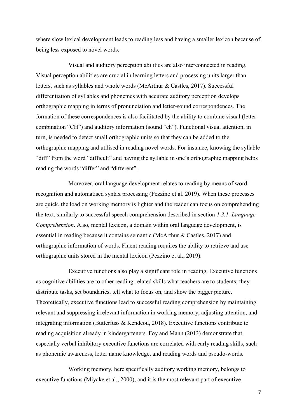where slow lexical development leads to reading less and having a smaller lexicon because of being less exposed to novel words.

Visual and auditory perception abilities are also interconnected in reading. Visual perception abilities are crucial in learning letters and processing units larger than letters, such as syllables and whole words (McArthur & Castles, 2017). Successful differentiation of syllables and phonemes with accurate auditory perception develops orthographic mapping in terms of pronunciation and letter-sound correspondences. The formation of these correspondences is also facilitated by the ability to combine visual (letter combination "CH") and auditory information (sound "ch"). Functional visual attention, in turn, is needed to detect small orthographic units so that they can be added to the orthographic mapping and utilised in reading novel words. For instance, knowing the syllable "diff" from the word "difficult" and having the syllable in one's orthographic mapping helps reading the words "differ" and "different".

Moreover, oral language development relates to reading by means of word recognition and automatised syntax processing (Pezzino et al. 2019). When these processes are quick, the load on working memory is lighter and the reader can focus on comprehending the text, similarly to successful speech comprehension described in section *1.3.1. Language Comprehension*. Also, mental lexicon, a domain within oral language development, is essential in reading because it contains semantic (McArthur & Castles, 2017) and orthographic information of words. Fluent reading requires the ability to retrieve and use orthographic units stored in the mental lexicon (Pezzino et al., 2019).

Executive functions also play a significant role in reading. Executive functions as cognitive abilities are to other reading-related skills what teachers are to students; they distribute tasks, set boundaries, tell what to focus on, and show the bigger picture. Theoretically, executive functions lead to successful reading comprehension by maintaining relevant and suppressing irrelevant information in working memory, adjusting attention, and integrating information (Butterfuss & Kendeou, 2018). Executive functions contribute to reading acquisition already in kindergarteners. Foy and Mann (2013) demonstrate that especially verbal inhibitory executive functions are correlated with early reading skills, such as phonemic awareness, letter name knowledge, and reading words and pseudo-words.

Working memory, here specifically auditory working memory, belongs to executive functions (Miyake et al., 2000), and it is the most relevant part of executive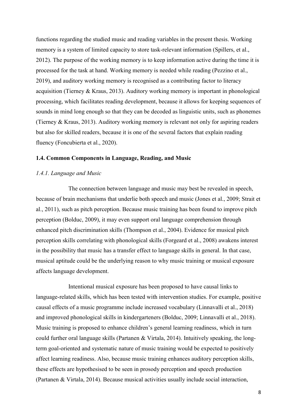functions regarding the studied music and reading variables in the present thesis. Working memory is a system of limited capacity to store task-relevant information (Spillers, et al., 2012). The purpose of the working memory is to keep information active during the time it is processed for the task at hand. Working memory is needed while reading (Pezzino et al., 2019), and auditory working memory is recognised as a contributing factor to literacy acquisition (Tierney & Kraus, 2013). Auditory working memory is important in phonological processing, which facilitates reading development, because it allows for keeping sequences of sounds in mind long enough so that they can be decoded as linguistic units, such as phonemes (Tierney & Kraus, 2013). Auditory working memory is relevant not only for aspiring readers but also for skilled readers, because it is one of the several factors that explain reading fluency (Foncubierta et al., 2020).

# **1.4. Common Components in Language, Reading, and Music**

#### *1.4.1. Language and Music*

The connection between language and music may best be revealed in speech, because of brain mechanisms that underlie both speech and music (Jones et al., 2009; Strait et al., 2011), such as pitch perception. Because music training has been found to improve pitch perception (Bolduc, 2009), it may even support oral language comprehension through enhanced pitch discrimination skills (Thompson et al., 2004). Evidence for musical pitch perception skills correlating with phonological skills (Forgeard et al., 2008) awakens interest in the possibility that music has a transfer effect to language skills in general. In that case, musical aptitude could be the underlying reason to why music training or musical exposure affects language development.

Intentional musical exposure has been proposed to have causal links to language-related skills, which has been tested with intervention studies. For example, positive causal effects of a music programme include increased vocabulary (Linnavalli et al., 2018) and improved phonological skills in kindergarteners (Bolduc, 2009; Linnavalli et al., 2018). Music training is proposed to enhance children's general learning readiness, which in turn could further oral language skills (Partanen & Virtala, 2014). Intuitively speaking, the longterm goal-oriented and systematic nature of music training would be expected to positively affect learning readiness. Also, because music training enhances auditory perception skills, these effects are hypothesised to be seen in prosody perception and speech production (Partanen & Virtala, 2014). Because musical activities usually include social interaction,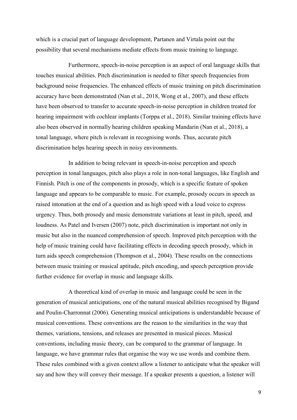which is a crucial part of language development, Partanen and Virtala point out the possibility that several mechanisms mediate effects from music training to language.

Furthermore, speech-in-noise perception is an aspect of oral language skills that touches musical abilities. Pitch discrimination is needed to filter speech frequencies from background noise frequencies. The enhanced effects of music training on pitch discrimination accuracy have been demonstrated (Nan et al., 2018, Wong et al., 2007), and these effects have been observed to transfer to accurate speech-in-noise perception in children treated for hearing impairment with cochlear implants (Torppa et al., 2018). Similar training effects have also been observed in normally hearing children speaking Mandarin (Nan et al., 2018), a tonal language, where pitch is relevant in recognising words. Thus, accurate pitch discrimination helps hearing speech in noisy environments.

In addition to being relevant in speech-in-noise perception and speech perception in tonal languages, pitch also plays a role in non-tonal languages, like English and Finnish. Pitch is one of the components in prosody, which is a specific feature of spoken language and appears to be comparable to music. For example, prosody occurs in speech as raised intonation at the end of a question and as high speed with a loud voice to express urgency. Thus, both prosody and music demonstrate variations at least in pitch, speed, and loudness. As Patel and Iversen (2007) note, pitch discrimination is important not only in music but also in the nuanced comprehension of speech. Improved pitch perception with the help of music training could have facilitating effects in decoding speech prosody, which in turn aids speech comprehension (Thompson et al., 2004). These results on the connections between music training or musical aptitude, pitch encoding, and speech perception provide further evidence for overlap in music and language skills.

A theoretical kind of overlap in music and language could be seen in the generation of musical anticipations, one of the natural musical abilities recognised by Bigand and Poulin-Charronnat (2006). Generating musical anticipations is understandable because of musical conventions. These conventions are the reason to the similarities in the way that themes, variations, tensions, and releases are presented in musical pieces. Musical conventions, including music theory, can be compared to the grammar of language. In language, we have grammar rules that organise the way we use words and combine them. These rules combined with a given context allow a listener to anticipate what the speaker will say and how they will convey their message. If a speaker presents a question, a listener will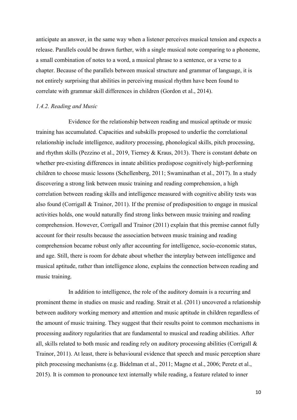anticipate an answer, in the same way when a listener perceives musical tension and expects a release. Parallels could be drawn further, with a single musical note comparing to a phoneme, a small combination of notes to a word, a musical phrase to a sentence, or a verse to a chapter. Because of the parallels between musical structure and grammar of language, it is not entirely surprising that abilities in perceiving musical rhythm have been found to correlate with grammar skill differences in children (Gordon et al., 2014).

#### *1.4.2. Reading and Music*

Evidence for the relationship between reading and musical aptitude or music training has accumulated. Capacities and subskills proposed to underlie the correlational relationship include intelligence, auditory processing, phonological skills, pitch processing, and rhythm skills (Pezzino et al., 2019, Tierney & Kraus, 2013). There is constant debate on whether pre-existing differences in innate abilities predispose cognitively high-performing children to choose music lessons (Schellenberg, 2011; Swaminathan et al., 2017). In a study discovering a strong link between music training and reading comprehension, a high correlation between reading skills and intelligence measured with cognitive ability tests was also found (Corrigall & Trainor, 2011). If the premise of predisposition to engage in musical activities holds, one would naturally find strong links between music training and reading comprehension. However, Corrigall and Trainor (2011) explain that this premise cannot fully account for their results because the association between music training and reading comprehension became robust only after accounting for intelligence, socio-economic status, and age. Still, there is room for debate about whether the interplay between intelligence and musical aptitude, rather than intelligence alone, explains the connection between reading and music training.

In addition to intelligence, the role of the auditory domain is a recurring and prominent theme in studies on music and reading. Strait et al. (2011) uncovered a relationship between auditory working memory and attention and music aptitude in children regardless of the amount of music training. They suggest that their results point to common mechanisms in processing auditory regularities that are fundamental to musical and reading abilities. After all, skills related to both music and reading rely on auditory processing abilities (Corrigall & Trainor, 2011). At least, there is behavioural evidence that speech and music perception share pitch processing mechanisms (e.g. Bidelman et al., 2011; Magne et al., 2006; Peretz et al., 2015). It is common to pronounce text internally while reading, a feature related to inner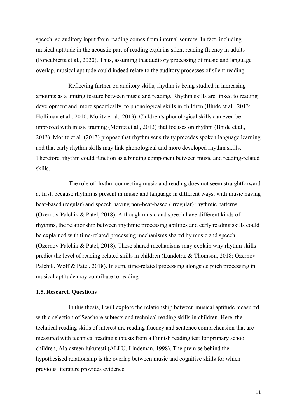speech, so auditory input from reading comes from internal sources. In fact, including musical aptitude in the acoustic part of reading explains silent reading fluency in adults (Foncubierta et al., 2020). Thus, assuming that auditory processing of music and language overlap, musical aptitude could indeed relate to the auditory processes of silent reading.

Reflecting further on auditory skills, rhythm is being studied in increasing amounts as a uniting feature between music and reading. Rhythm skills are linked to reading development and, more specifically, to phonological skills in children (Bhide et al., 2013; Holliman et al., 2010; Moritz et al., 2013). Children's phonological skills can even be improved with music training (Moritz et al., 2013) that focuses on rhythm (Bhide et al., 2013). Moritz et al. (2013) propose that rhythm sensitivity precedes spoken language learning and that early rhythm skills may link phonological and more developed rhythm skills. Therefore, rhythm could function as a binding component between music and reading-related skills.

The role of rhythm connecting music and reading does not seem straightforward at first, because rhythm is present in music and language in different ways, with music having beat-based (regular) and speech having non-beat-based (irregular) rhythmic patterns (Ozernov-Palchik & Patel, 2018). Although music and speech have different kinds of rhythms, the relationship between rhythmic processing abilities and early reading skills could be explained with time-related processing mechanisms shared by music and speech (Ozernov-Palchik & Patel, 2018). These shared mechanisms may explain why rhythm skills predict the level of reading-related skills in children (Lundetræ & Thomson, 2018; Ozernov-Palchik, Wolf & Patel, 2018). In sum, time-related processing alongside pitch processing in musical aptitude may contribute to reading.

# **1.5. Research Questions**

In this thesis, I will explore the relationship between musical aptitude measured with a selection of Seashore subtests and technical reading skills in children. Here, the technical reading skills of interest are reading fluency and sentence comprehension that are measured with technical reading subtests from a Finnish reading test for primary school children, Ala-asteen lukutesti (ALLU, Lindeman, 1998). The premise behind the hypothesised relationship is the overlap between music and cognitive skills for which previous literature provides evidence.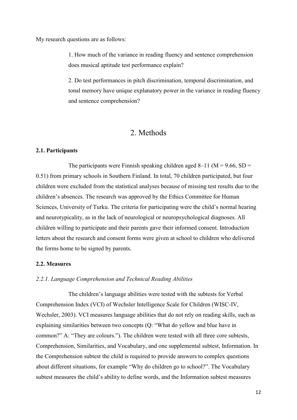My research questions are as follows:

1. How much of the variance in reading fluency and sentence comprehension does musical aptitude test performance explain?

2. Do test performances in pitch discrimination, temporal discrimination, and tonal memory have unique explanatory power in the variance in reading fluency and sentence comprehension?

# 2. Methods

#### **2.1. Participants**

The participants were Finnish speaking children aged 8–11 ( $M = 9.66$ , SD = 0.51) from primary schools in Southern Finland. In total, 70 children participated, but four children were excluded from the statistical analyses because of missing test results due to the children's absences. The research was approved by the Ethics Committee for Human Sciences, University of Turku. The criteria for participating were the child's normal hearing and neurotypicality, as in the lack of neurological or neuropsychological diagnoses. All children willing to participate and their parents gave their informed consent. Introduction letters about the research and consent forms were given at school to children who delivered the forms home to be signed by parents.

#### **2.2. Measures**

# *2.2.1. Language Comprehension and Technical Reading Abilities*

The children's language abilities were tested with the subtests for Verbal Comprehension Index (VCI) of Wechsler Intelligence Scale for Children (WISC-IV, Wechsler, 2003). VCI measures language abilities that do not rely on reading skills, such as explaining similarities between two concepts (Q: "What do yellow and blue have in common?" A: "They are colours."). The children were tested with all three core subtests, Comprehension, Similarities, and Vocabulary, and one supplemental subtest, Information. In the Comprehension subtest the child is required to provide answers to complex questions about different situations, for example "Why do children go to school?". The Vocabulary subtest measures the child's ability to define words, and the Information subtest measures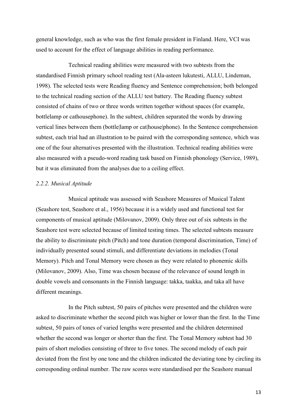general knowledge, such as who was the first female president in Finland. Here, VCI was used to account for the effect of language abilities in reading performance.

Technical reading abilities were measured with two subtests from the standardised Finnish primary school reading test (Ala-asteen lukutesti, ALLU, Lindeman, 1998). The selected tests were Reading fluency and Sentence comprehension; both belonged to the technical reading section of the ALLU test battery. The Reading fluency subtest consisted of chains of two or three words written together without spaces (for example, bottlelamp or cathousephone). In the subtest, children separated the words by drawing vertical lines between them (bottle|lamp or cat|house|phone). In the Sentence comprehension subtest, each trial had an illustration to be paired with the corresponding sentence, which was one of the four alternatives presented with the illustration. Technical reading abilities were also measured with a pseudo-word reading task based on Finnish phonology (Service, 1989), but it was eliminated from the analyses due to a ceiling effect.

#### *2.2.2. Musical Aptitude*

Musical aptitude was assessed with Seashore Measures of Musical Talent (Seashore test, Seashore et al., 1956) because it is a widely used and functional test for components of musical aptitude (Milovanov, 2009). Only three out of six subtests in the Seashore test were selected because of limited testing times. The selected subtests measure the ability to discriminate pitch (Pitch) and tone duration (temporal discrimination, Time) of individually presented sound stimuli, and differentiate deviations in melodies (Tonal Memory). Pitch and Tonal Memory were chosen as they were related to phonemic skills (Milovanov, 2009). Also, Time was chosen because of the relevance of sound length in double vowels and consonants in the Finnish language: takka, taakka, and taka all have different meanings.

In the Pitch subtest, 50 pairs of pitches were presented and the children were asked to discriminate whether the second pitch was higher or lower than the first. In the Time subtest, 50 pairs of tones of varied lengths were presented and the children determined whether the second was longer or shorter than the first. The Tonal Memory subtest had 30 pairs of short melodies consisting of three to five tones. The second melody of each pair deviated from the first by one tone and the children indicated the deviating tone by circling its corresponding ordinal number. The raw scores were standardised per the Seashore manual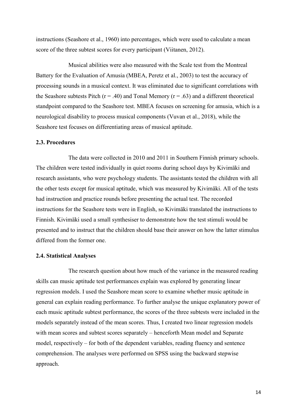instructions (Seashore et al., 1960) into percentages, which were used to calculate a mean score of the three subtest scores for every participant (Viitanen, 2012).

Musical abilities were also measured with the Scale test from the Montreal Battery for the Evaluation of Amusia (MBEA, Peretz et al., 2003) to test the accuracy of processing sounds in a musical context. It was eliminated due to significant correlations with the Seashore subtests Pitch ( $r = .40$ ) and Tonal Memory ( $r = .63$ ) and a different theoretical standpoint compared to the Seashore test. MBEA focuses on screening for amusia, which is a neurological disability to process musical components (Vuvan et al., 2018), while the Seashore test focuses on differentiating areas of musical aptitude.

#### **2.3. Procedures**

The data were collected in 2010 and 2011 in Southern Finnish primary schools. The children were tested individually in quiet rooms during school days by Kivimäki and research assistants, who were psychology students. The assistants tested the children with all the other tests except for musical aptitude, which was measured by Kivimäki. All of the tests had instruction and practice rounds before presenting the actual test. The recorded instructions for the Seashore tests were in English, so Kivimäki translated the instructions to Finnish. Kivimäki used a small synthesiser to demonstrate how the test stimuli would be presented and to instruct that the children should base their answer on how the latter stimulus differed from the former one.

#### **2.4. Statistical Analyses**

The research question about how much of the variance in the measured reading skills can music aptitude test performances explain was explored by generating linear regression models. I used the Seashore mean score to examine whether music aptitude in general can explain reading performance. To further analyse the unique explanatory power of each music aptitude subtest performance, the scores of the three subtests were included in the models separately instead of the mean scores. Thus, I created two linear regression models with mean scores and subtest scores separately – henceforth Mean model and Separate model, respectively – for both of the dependent variables, reading fluency and sentence comprehension. The analyses were performed on SPSS using the backward stepwise approach.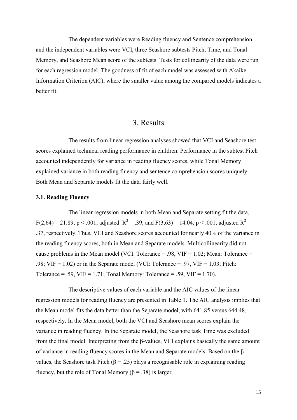The dependent variables were Reading fluency and Sentence comprehension and the independent variables were VCI, three Seashore subtests Pitch, Time, and Tonal Memory, and Seashore Mean score of the subtests. Tests for collinearity of the data were run for each regression model. The goodness of fit of each model was assessed with Akaike Information Criterion (AIC), where the smaller value among the compared models indicates a better fit.

# 3. Results

The results from linear regression analyses showed that VCI and Seashore test scores explained technical reading performance in children. Performance in the subtest Pitch accounted independently for variance in reading fluency scores, while Tonal Memory explained variance in both reading fluency and sentence comprehension scores uniquely. Both Mean and Separate models fit the data fairly well.

#### **3.1. Reading Fluency**

The linear regression models in both Mean and Separate setting fit the data,  $F(2,64) = 21.89$ , p < .001, adjusted  $R^2 = .39$ , and  $F(3,63) = 14.04$ , p < .001, adjusted  $R^2 =$ .37, respectively. Thus, VCI and Seashore scores accounted for nearly 40% of the variance in the reading fluency scores, both in Mean and Separate models. Multicollinearity did not cause problems in the Mean model (VCI: Tolerance  $= .98$ , VIF  $= 1.02$ ; Mean: Tolerance  $=$ .98; VIF = 1.02) or in the Separate model (VCI: Tolerance = .97, VIF = 1.03; Pitch: Tolerance = .59,  $VIF = 1.71$ ; Tonal Memory: Tolerance = .59,  $VIF = 1.70$ ).

The descriptive values of each variable and the AIC values of the linear regression models for reading fluency are presented in Table 1. The AIC analysis implies that the Mean model fits the data better than the Separate model, with 641.85 versus 644.48, respectively. In the Mean model, both the VCI and Seashore mean scores explain the variance in reading fluency. In the Separate model, the Seashore task Time was excluded from the final model. Interpreting from the β-values, VCI explains basically the same amount of variance in reading fluency scores in the Mean and Separate models. Based on the βvalues, the Seashore task Pitch ( $\beta$  = .25) plays a recognisable role in explaining reading fluency, but the role of Tonal Memory ( $\beta$  = .38) is larger.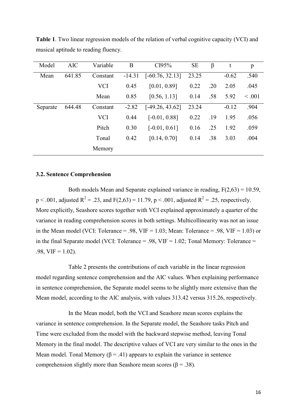| Model    | <b>AIC</b> | Variable   | B        | CI95%             | <b>SE</b> | β   | t       | p       |
|----------|------------|------------|----------|-------------------|-----------|-----|---------|---------|
| Mean     | 641.85     | Constant   | $-14.31$ | $[-60.76, 32.13]$ | 23.25     |     | $-0.62$ | .540    |
|          |            | <b>VCI</b> | 0.45     | [0.01, 0.89]      | 0.22      | .20 | 2.05    | .045    |
|          |            | Mean       | 0.85     | [0.56, 1.13]      | 0.14      | .58 | 5.92    | < 0.001 |
| Separate | 644.48     | Constant   | $-2.82$  | $[-49.26, 43.62]$ | 23.24     |     | $-0.12$ | .904    |
|          |            | <b>VCI</b> | 0.44     | $[-0.01, 0.88]$   | 0.22      | .19 | 1.95    | .056    |
|          |            | Pitch      | 0.30     | $[-0.01, 0.61]$   | 0.16      | .25 | 1.92    | .059    |
|          |            | Tonal      | 0.42     | [0.14, 0.70]      | 0.14      | .38 | 3.03    | .004    |
|          |            | Memory     |          |                   |           |     |         |         |

**Table 1**. Two linear regression models of the relation of verbal cognitive capacity (VCI) and musical aptitude to reading fluency.

#### **3.2. Sentence Comprehension**

Both models Mean and Separate explained variance in reading,  $F(2.63) = 10.59$ ,  $p < .001$ , adjusted  $R^2 = .23$ , and  $F(2,63) = 11.79$ ,  $p < .001$ , adjusted  $R^2 = .25$ , respectively. More explicitly, Seashore scores together with VCI explained approximately a quarter of the variance in reading comprehension scores in both settings. Multicollinearity was not an issue in the Mean model (VCI: Tolerance = .98, VIF = 1.03; Mean: Tolerance = .98, VIF = 1.03) or in the final Separate model (VCI: Tolerance  $= .98$ , VIF  $= 1.02$ ; Tonal Memory: Tolerance  $=$  $.98, VIF = 1.02$ ).

Table 2 presents the contributions of each variable in the linear regression model regarding sentence comprehension and the AIC values. When explaining performance in sentence comprehension, the Separate model seems to be slightly more extensive than the Mean model, according to the AIC analysis, with values 313.42 versus 315.26, respectively.

In the Mean model, both the VCI and Seashore mean scores explains the variance in sentence comprehension. In the Separate model, the Seashore tasks Pitch and Time were excluded from the model with the backward stepwise method, leaving Tonal Memory in the final model. The descriptive values of VCI are very similar to the ones in the Mean model. Tonal Memory ( $\beta$  = .41) appears to explain the variance in sentence comprehension slightly more than Seashore mean scores ( $\beta = .38$ ).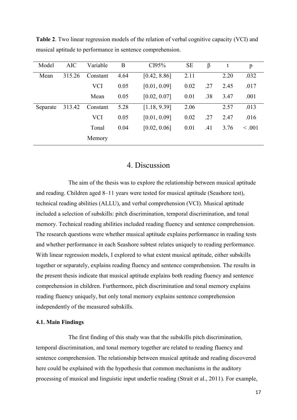| Model    | <b>AIC</b> | Variable   | B    | CI95%        | <b>SE</b> | β   |      | p       |
|----------|------------|------------|------|--------------|-----------|-----|------|---------|
| Mean     | 315.26     | Constant   | 4.64 | [0.42, 8.86] | 2.11      |     | 2.20 | .032    |
|          |            | <b>VCI</b> | 0.05 | [0.01, 0.09] | 0.02      | .27 | 2.45 | .017    |
|          |            | Mean       | 0.05 | [0.02, 0.07] | 0.01      | .38 | 3.47 | .001    |
| Separate | 313.42     | Constant   | 5.28 | [1.18, 9.39] | 2.06      |     | 2.57 | .013    |
|          |            | <b>VCI</b> | 0.05 | [0.01, 0.09] | 0.02      | .27 | 2.47 | .016    |
|          |            | Tonal      | 0.04 | [0.02, 0.06] | 0.01      | .41 | 3.76 | < 0.001 |
|          |            | Memory     |      |              |           |     |      |         |

**Table 2**. Two linear regression models of the relation of verbal cognitive capacity (VCI) and musical aptitude to performance in sentence comprehension.

# 4. Discussion

The aim of the thesis was to explore the relationship between musical aptitude and reading. Children aged 8–11 years were tested for musical aptitude (Seashore test), technical reading abilities (ALLU), and verbal comprehension (VCI). Musical aptitude included a selection of subskills: pitch discrimination, temporal discrimination, and tonal memory. Technical reading abilities included reading fluency and sentence comprehension. The research questions were whether musical aptitude explains performance in reading tests and whether performance in each Seashore subtest relates uniquely to reading performance. With linear regression models, I explored to what extent musical aptitude, either subskills together or separately, explains reading fluency and sentence comprehension. The results in the present thesis indicate that musical aptitude explains both reading fluency and sentence comprehension in children. Furthermore, pitch discrimination and tonal memory explains reading fluency uniquely, but only tonal memory explains sentence comprehension independently of the measured subskills.

#### **4.1. Main Findings**

The first finding of this study was that the subskills pitch discrimination, temporal discrimination, and tonal memory together are related to reading fluency and sentence comprehension. The relationship between musical aptitude and reading discovered here could be explained with the hypothesis that common mechanisms in the auditory processing of musical and linguistic input underlie reading (Strait et al., 2011). For example,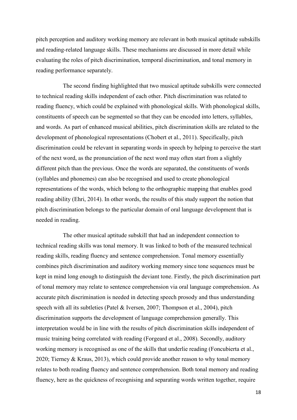pitch perception and auditory working memory are relevant in both musical aptitude subskills and reading-related language skills. These mechanisms are discussed in more detail while evaluating the roles of pitch discrimination, temporal discrimination, and tonal memory in reading performance separately.

The second finding highlighted that two musical aptitude subskills were connected to technical reading skills independent of each other. Pitch discrimination was related to reading fluency, which could be explained with phonological skills. With phonological skills, constituents of speech can be segmented so that they can be encoded into letters, syllables, and words. As part of enhanced musical abilities, pitch discrimination skills are related to the development of phonological representations (Chobert et al., 2011). Specifically, pitch discrimination could be relevant in separating words in speech by helping to perceive the start of the next word, as the pronunciation of the next word may often start from a slightly different pitch than the previous. Once the words are separated, the constituents of words (syllables and phonemes) can also be recognised and used to create phonological representations of the words, which belong to the orthographic mapping that enables good reading ability (Ehri, 2014). In other words, the results of this study support the notion that pitch discrimination belongs to the particular domain of oral language development that is needed in reading.

The other musical aptitude subskill that had an independent connection to technical reading skills was tonal memory. It was linked to both of the measured technical reading skills, reading fluency and sentence comprehension. Tonal memory essentially combines pitch discrimination and auditory working memory since tone sequences must be kept in mind long enough to distinguish the deviant tone. Firstly, the pitch discrimination part of tonal memory may relate to sentence comprehension via oral language comprehension. As accurate pitch discrimination is needed in detecting speech prosody and thus understanding speech with all its subtleties (Patel & Iversen, 2007; Thompson et al., 2004), pitch discrimination supports the development of language comprehension generally. This interpretation would be in line with the results of pitch discrimination skills independent of music training being correlated with reading (Forgeard et al., 2008). Secondly, auditory working memory is recognised as one of the skills that underlie reading (Foncubierta et al., 2020; Tierney & Kraus, 2013), which could provide another reason to why tonal memory relates to both reading fluency and sentence comprehension. Both tonal memory and reading fluency, here as the quickness of recognising and separating words written together, require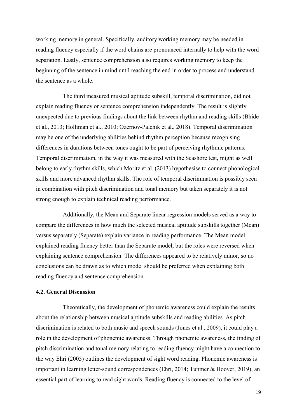working memory in general. Specifically, auditory working memory may be needed in reading fluency especially if the word chains are pronounced internally to help with the word separation. Lastly, sentence comprehension also requires working memory to keep the beginning of the sentence in mind until reaching the end in order to process and understand the sentence as a whole.

The third measured musical aptitude subskill, temporal discrimination, did not explain reading fluency or sentence comprehension independently. The result is slightly unexpected due to previous findings about the link between rhythm and reading skills (Bhide et al., 2013; Holliman et al., 2010; Ozernov-Palchik et al., 2018). Temporal discrimination may be one of the underlying abilities behind rhythm perception because recognising differences in durations between tones ought to be part of perceiving rhythmic patterns. Temporal discrimination, in the way it was measured with the Seashore test, might as well belong to early rhythm skills, which Moritz et al. (2013) hypothesise to connect phonological skills and more advanced rhythm skills. The role of temporal discrimination is possibly seen in combination with pitch discrimination and tonal memory but taken separately it is not strong enough to explain technical reading performance.

Additionally, the Mean and Separate linear regression models served as a way to compare the differences in how much the selected musical aptitude subskills together (Mean) versus separately (Separate) explain variance in reading performance. The Mean model explained reading fluency better than the Separate model, but the roles were reversed when explaining sentence comprehension. The differences appeared to be relatively minor, so no conclusions can be drawn as to which model should be preferred when explaining both reading fluency and sentence comprehension.

# **4.2. General Discussion**

Theoretically, the development of phonemic awareness could explain the results about the relationship between musical aptitude subskills and reading abilities. As pitch discrimination is related to both music and speech sounds (Jones et al., 2009), it could play a role in the development of phonemic awareness. Through phonemic awareness, the finding of pitch discrimination and tonal memory relating to reading fluency might have a connection to the way Ehri (2005) outlines the development of sight word reading. Phonemic awareness is important in learning letter-sound correspondences (Ehri, 2014; Tunmer & Hoover, 2019), an essential part of learning to read sight words. Reading fluency is connected to the level of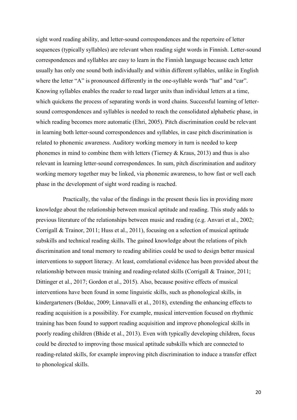sight word reading ability, and letter-sound correspondences and the repertoire of letter sequences (typically syllables) are relevant when reading sight words in Finnish. Letter-sound correspondences and syllables are easy to learn in the Finnish language because each letter usually has only one sound both individually and within different syllables, unlike in English where the letter "A" is pronounced differently in the one-syllable words "hat" and "car". Knowing syllables enables the reader to read larger units than individual letters at a time, which quickens the process of separating words in word chains. Successful learning of lettersound correspondences and syllables is needed to reach the consolidated alphabetic phase, in which reading becomes more automatic (Ehri, 2005). Pitch discrimination could be relevant in learning both letter-sound correspondences and syllables, in case pitch discrimination is related to phonemic awareness. Auditory working memory in turn is needed to keep phonemes in mind to combine them with letters (Tierney & Kraus, 2013) and thus is also relevant in learning letter-sound correspondences. In sum, pitch discrimination and auditory working memory together may be linked, via phonemic awareness, to how fast or well each phase in the development of sight word reading is reached.

Practically, the value of the findings in the present thesis lies in providing more knowledge about the relationship between musical aptitude and reading. This study adds to previous literature of the relationships between music and reading (e.g. Anvari et al., 2002; Corrigall & Trainor, 2011; Huss et al., 2011), focusing on a selection of musical aptitude subskills and technical reading skills. The gained knowledge about the relations of pitch discrimination and tonal memory to reading abilities could be used to design better musical interventions to support literacy. At least, correlational evidence has been provided about the relationship between music training and reading-related skills (Corrigall & Trainor, 2011; Dittinger et al., 2017; Gordon et al., 2015). Also, because positive effects of musical interventions have been found in some linguistic skills, such as phonological skills, in kindergarteners (Bolduc, 2009; Linnavalli et al., 2018), extending the enhancing effects to reading acquisition is a possibility. For example, musical intervention focused on rhythmic training has been found to support reading acquisition and improve phonological skills in poorly reading children (Bhide et al., 2013). Even with typically developing children, focus could be directed to improving those musical aptitude subskills which are connected to reading-related skills, for example improving pitch discrimination to induce a transfer effect to phonological skills.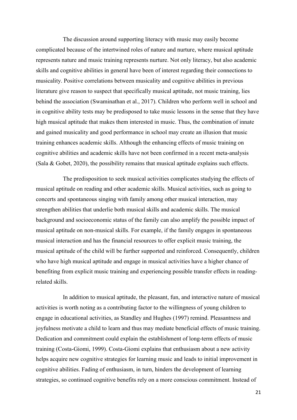The discussion around supporting literacy with music may easily become complicated because of the intertwined roles of nature and nurture, where musical aptitude represents nature and music training represents nurture. Not only literacy, but also academic skills and cognitive abilities in general have been of interest regarding their connections to musicality. Positive correlations between musicality and cognitive abilities in previous literature give reason to suspect that specifically musical aptitude, not music training, lies behind the association (Swaminathan et al., 2017). Children who perform well in school and in cognitive ability tests may be predisposed to take music lessons in the sense that they have high musical aptitude that makes them interested in music. Thus, the combination of innate and gained musicality and good performance in school may create an illusion that music training enhances academic skills. Although the enhancing effects of music training on cognitive abilities and academic skills have not been confirmed in a recent meta-analysis (Sala & Gobet, 2020), the possibility remains that musical aptitude explains such effects.

The predisposition to seek musical activities complicates studying the effects of musical aptitude on reading and other academic skills. Musical activities, such as going to concerts and spontaneous singing with family among other musical interaction, may strengthen abilities that underlie both musical skills and academic skills. The musical background and socioeconomic status of the family can also amplify the possible impact of musical aptitude on non-musical skills. For example, if the family engages in spontaneous musical interaction and has the financial resources to offer explicit music training, the musical aptitude of the child will be further supported and reinforced. Consequently, children who have high musical aptitude and engage in musical activities have a higher chance of benefiting from explicit music training and experiencing possible transfer effects in readingrelated skills.

In addition to musical aptitude, the pleasant, fun, and interactive nature of musical activities is worth noting as a contributing factor to the willingness of young children to engage in educational activities, as Standley and Hughes (1997) remind. Pleasantness and joyfulness motivate a child to learn and thus may mediate beneficial effects of music training. Dedication and commitment could explain the establishment of long-term effects of music training (Costa-Giomi, 1999). Costa-Giomi explains that enthusiasm about a new activity helps acquire new cognitive strategies for learning music and leads to initial improvement in cognitive abilities. Fading of enthusiasm, in turn, hinders the development of learning strategies, so continued cognitive benefits rely on a more conscious commitment. Instead of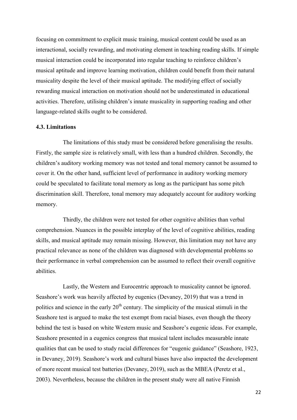focusing on commitment to explicit music training, musical content could be used as an interactional, socially rewarding, and motivating element in teaching reading skills. If simple musical interaction could be incorporated into regular teaching to reinforce children's musical aptitude and improve learning motivation, children could benefit from their natural musicality despite the level of their musical aptitude. The modifying effect of socially rewarding musical interaction on motivation should not be underestimated in educational activities. Therefore, utilising children's innate musicality in supporting reading and other language-related skills ought to be considered.

#### **4.3. Limitations**

The limitations of this study must be considered before generalising the results. Firstly, the sample size is relatively small, with less than a hundred children. Secondly, the children's auditory working memory was not tested and tonal memory cannot be assumed to cover it. On the other hand, sufficient level of performance in auditory working memory could be speculated to facilitate tonal memory as long as the participant has some pitch discrimination skill. Therefore, tonal memory may adequately account for auditory working memory.

Thirdly, the children were not tested for other cognitive abilities than verbal comprehension. Nuances in the possible interplay of the level of cognitive abilities, reading skills, and musical aptitude may remain missing. However, this limitation may not have any practical relevance as none of the children was diagnosed with developmental problems so their performance in verbal comprehension can be assumed to reflect their overall cognitive abilities.

Lastly, the Western and Eurocentric approach to musicality cannot be ignored. Seashore's work was heavily affected by eugenics (Devaney, 2019) that was a trend in politics and science in the early  $20<sup>th</sup>$  century. The simplicity of the musical stimuli in the Seashore test is argued to make the test exempt from racial biases, even though the theory behind the test is based on white Western music and Seashore's eugenic ideas. For example, Seashore presented in a eugenics congress that musical talent includes measurable innate qualities that can be used to study racial differences for "eugenic guidance" (Seashore, 1923, in Devaney, 2019). Seashore's work and cultural biases have also impacted the development of more recent musical test batteries (Devaney, 2019), such as the MBEA (Peretz et al., 2003). Nevertheless, because the children in the present study were all native Finnish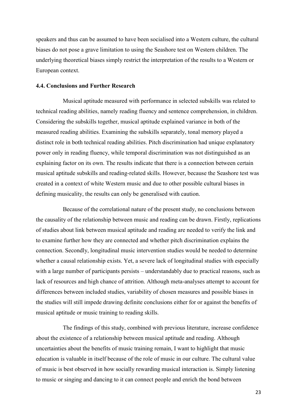speakers and thus can be assumed to have been socialised into a Western culture, the cultural biases do not pose a grave limitation to using the Seashore test on Western children. The underlying theoretical biases simply restrict the interpretation of the results to a Western or European context.

# **4.4. Conclusions and Further Research**

Musical aptitude measured with performance in selected subskills was related to technical reading abilities, namely reading fluency and sentence comprehension, in children. Considering the subskills together, musical aptitude explained variance in both of the measured reading abilities. Examining the subskills separately, tonal memory played a distinct role in both technical reading abilities. Pitch discrimination had unique explanatory power only in reading fluency, while temporal discrimination was not distinguished as an explaining factor on its own. The results indicate that there is a connection between certain musical aptitude subskills and reading-related skills. However, because the Seashore test was created in a context of white Western music and due to other possible cultural biases in defining musicality, the results can only be generalised with caution.

Because of the correlational nature of the present study, no conclusions between the causality of the relationship between music and reading can be drawn. Firstly, replications of studies about link between musical aptitude and reading are needed to verify the link and to examine further how they are connected and whether pitch discrimination explains the connection. Secondly, longitudinal music intervention studies would be needed to determine whether a causal relationship exists. Yet, a severe lack of longitudinal studies with especially with a large number of participants persists – understandably due to practical reasons, such as lack of resources and high chance of attrition. Although meta-analyses attempt to account for differences between included studies, variability of chosen measures and possible biases in the studies will still impede drawing definite conclusions either for or against the benefits of musical aptitude or music training to reading skills.

The findings of this study, combined with previous literature, increase confidence about the existence of a relationship between musical aptitude and reading. Although uncertainties about the benefits of music training remain, I want to highlight that music education is valuable in itself because of the role of music in our culture. The cultural value of music is best observed in how socially rewarding musical interaction is. Simply listening to music or singing and dancing to it can connect people and enrich the bond between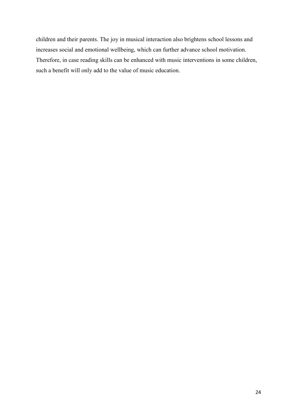children and their parents. The joy in musical interaction also brightens school lessons and increases social and emotional wellbeing, which can further advance school motivation. Therefore, in case reading skills can be enhanced with music interventions in some children, such a benefit will only add to the value of music education.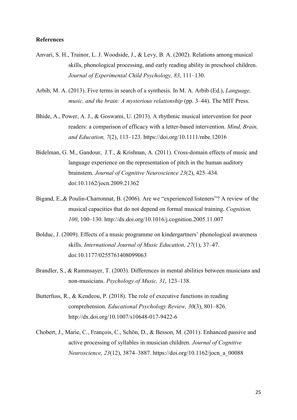### **References**

- Anvari, S. H., Trainor, L. J. Woodside, J., & Levy, B. A. (2002). Relations among musical skills, phonological processing, and early reading ability in preschool children. *Journal of Experimental Child Psychology, 83*, 111–130.
- Arbib, M. A. (2013). Five terms in search of a synthesis. In M. A. Arbib (Ed.), *Language, music, and the brain: A mysterious relationship* (pp. 3–44). The MIT Press.
- Bhide, A., Power, A. J., & Goswami, U. (2013). A rhythmic musical intervention for poor readers: a comparison of efficacy with a letter-based intervention. *Mind, Brain, and Education, 7*(2), 113–123. https://doi.org/10.1111/mbe.12016
- Bidelman, G. M., Gandour, J.T., & Krishnan, A. (2011). Cross-domain effects of music and language experience on the representation of pitch in the human auditory brainstem. *Journal of Cognitive Neuroscience 23*(2), 425–434. doi:10.1162/jocn.2009.21362
- Bigand, E.,& Poulin-Charronnat, B. (2006). Are we "experienced listeners"? A review of the musical capacities that do not depend on formal musical training. *Cognition, 100*, 100–130. http://dx.doi.org/10.1016/j.cognition.2005.11.007
- Bolduc, J. (2009). Effects of a music programme on kindergartners' phonological awareness skills. *International Journal of Music Education, 27*(1), 37–47. doi:10.1177/0255761408099063
- Brandler, S., & Rammsayer, T. (2003). Differences in mental abilities between musicians and non-musicians. *Psychology of Music, 31*, 123–138.
- Butterfuss, R., & Kendeou, P. (2018). The role of executive functions in reading comprehension. *Educational Psychology Review, 30*(3), 801–826. http://dx.doi.org/10.1007/s10648-017-9422-6
- Chobert, J., Marie, C., François, C., Schön, D., & Besson, M. (2011). Enhanced passive and active processing of syllables in musician children. *Journal of Cognitive Neuroscience, 23*(12), 3874–3887. https://doi.org/10.1162/jocn\_a\_00088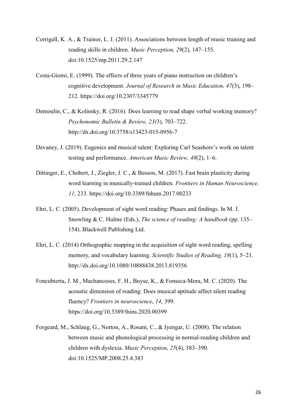- Corrigall, K. A., & Trainor, L. J. (2011). Associations between length of music training and reading skills in children. *Music Perception, 29*(2), 147–155. doi:10.1525/mp.2011.29.2.147
- Costa-Giomi, E. (1999). The effects of three years of piano instruction on children's cognitive development. *Journal of Research in Music Education, 47*(3), 198– 212. https://doi.org/10.2307/3345779
- Demoulin, C., & Kolinsky, R. (2016). Does learning to read shape verbal working memory? *Psychonomic Bulletin & Review, 23(*3), 703–722. http://dx.doi.org/10.3758/s13423-015-0956-7
- Devaney, J. (2019). Eugenics and musical talent: Exploring Carl Seashore's work on talent testing and performance. *American Music Review, 48*(2), 1–6.
- Dittinger, E., Chobert, J., Ziegler, J. C., & Besson, M. (2017). Fast brain plasticity during word learning in musically-trained children. *Frontiers in Human Neuroscience, 11*, 233. https://doi.org/10.3389/fnhum.2017.00233
- Ehri, L. C. (2005). Development of sight word reading: Phases and findings. In M. J. Snowling & C. Hulme (Eds.), *The science of reading: A handbook* (pp. 135– 154). Blackwell Publishing Ltd.
- Ehri, L. C. (2014) Orthographic mapping in the acquisition of sight word reading, spelling memory, and vocabulary learning. *Scientific Studies of Reading, 18*(1), 5–21. http://dx.doi.org/10.1080/10888438.2013.819356
- Foncubierta, J. M., Machancoses, F. H., Buyse, K., & Fonseca-Mora, M. C. (2020). The acoustic dimension of reading: Does musical aptitude affect silent reading fluency? *Frontiers in neuroscience*, *14*, 399. https://doi.org/10.3389/fnins.2020.00399
- Forgeard, M., Schlaug, G., Norton, A., Rosam, C., & Iyengar, U. (2008). The relation between music and phonological processing in normal-reading children and children with dyslexia. *Music Perception, 25*(4), 383–390. doi:10.1525/MP.2008.25.4.383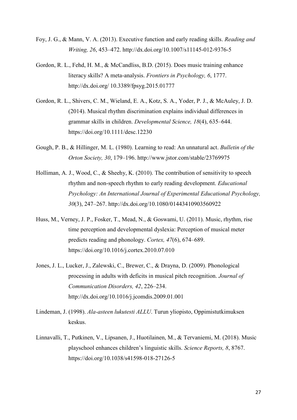- Foy, J. G., & Mann, V. A. (2013). Executive function and early reading skills. *Reading and Writing, 26*, 453–472. http://dx.doi.org/10.1007/s11145-012-9376-5
- Gordon, R. L., Fehd, H. M., & McCandliss, B.D. (2015). Does music training enhance literacy skills? A meta-analysis. *Frontiers in Psychology, 6*, 1777. http://dx.doi.org/ 10.3389/fpsyg.2015.01777
- Gordon, R. L., Shivers, C. M., Wieland, E. A., Kotz, S. A., Yoder, P. J., & McAuley, J. D. (2014). Musical rhythm discrimination explains individual differences in grammar skills in children. *Developmental Science, 18*(4), 635–644. https://doi.org/10.1111/desc.12230
- Gough, P. B., & Hillinger, M. L. (1980). Learning to read: An unnatural act. *Bulletin of the Orton Society, 30*, 179–196. http://www.jstor.com/stable/23769975
- Holliman, A. J., Wood, C., & Sheehy, K. (2010). The contribution of sensitivity to speech rhythm and non‐speech rhythm to early reading development. *Educational Psychology: An International Journal of Experimental Educational Psychology, 30*(3), 247–267. http://dx.doi.org/10.1080/01443410903560922
- Huss, M., Verney, J. P., Fosker, T., Mead, N., & Goswami, U. (2011). Music, rhythm, rise time perception and developmental dyslexia: Perception of musical meter predicts reading and phonology. *Cortex, 47*(6), 674–689. https://doi.org/10.1016/j.cortex.2010.07.010
- Jones, J. L., Lucker, J., Zalewski, C., Brewer, C., & Drayna, D. (2009). Phonological processing in adults with deficits in musical pitch recognition. *Journal of Communication Disorders, 42*, 226–234. http://dx.doi.org/10.1016/j.jcomdis.2009.01.001
- Lindeman, J. (1998). *Ala-asteen lukutesti ALLU*. Turun yliopisto, Oppimistutkimuksen keskus.
- Linnavalli, T., Putkinen, V., Lipsanen, J., Huotilainen, M., & Tervaniemi, M. (2018). Music playschool enhances children's linguistic skills. *Science Reports, 8*, 8767. https://doi.org/10.1038/s41598-018-27126-5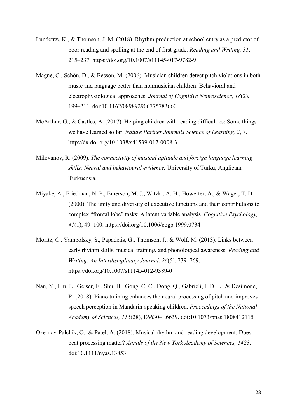- Lundetræ, K., & Thomson, J. M. (2018). Rhythm production at school entry as a predictor of poor reading and spelling at the end of first grade. *Reading and Writing, 31*, 215–237. https://doi.org/10.1007/s11145-017-9782-9
- Magne, C., Schön, D., & Besson, M. (2006). Musician children detect pitch violations in both music and language better than nonmusician children: Behavioral and electrophysiological approaches. *Journal of Cognitive Neuroscience, 18*(2), 199–211. doi:10.1162/089892906775783660
- McArthur, G., & Castles, A. (2017). Helping children with reading difficulties: Some things we have learned so far. *Nature Partner Journals Science of Learning, 2*, 7. http://dx.doi.org/10.1038/s41539-017-0008-3
- Milovanov, R. (2009). *The connectivity of musical aptitude and foreign language learning skills: Neural and behavioural evidence.* University of Turku, Anglicana Turkuensia.
- Miyake, A., Friedman, N. P., Emerson, M. J., Witzki, A. H., Howerter, A., & Wager, T. D. (2000). The unity and diversity of executive functions and their contributions to complex "frontal lobe" tasks: A latent variable analysis. *Cognitive Psychology, 41*(1), 49–100. https://doi.org/10.1006/cogp.1999.0734
- Moritz, C., Yampolsky, S., Papadelis, G., Thomson, J., & Wolf, M. (2013). Links between early rhythm skills, musical training, and phonological awareness. *Reading and Writing: An Interdisciplinary Journal, 26*(5), 739–769. https://doi.org/10.1007/s11145-012-9389-0
- Nan, Y., Liu, L., Geiser, E., Shu, H., Gong, C. C., Dong, Q., Gabrieli, J. D. E., & Desimone, R. (2018). Piano training enhances the neural processing of pitch and improves speech perception in Mandarin-speaking children. *Proceedings of the National Academy of Sciences, 115*(28), E6630–E6639. doi:10.1073/pnas.1808412115
- Ozernov-Palchik, O., & Patel, A. (2018). Musical rhythm and reading development: Does beat processing matter? *Annals of the New York Academy of Sciences, 1423*. doi:10.1111/nyas.13853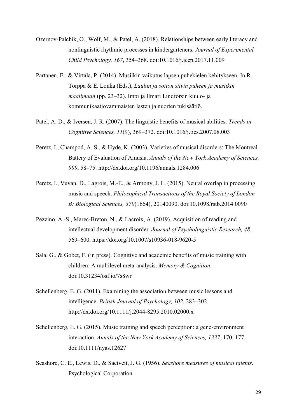- Ozernov-Palchik, O., Wolf, M., & Patel, A. (2018). Relationships between early literacy and nonlinguistic rhythmic processes in kindergarteners. *Journal of Experimental Child Psychology, 167*, 354–368. doi:10.1016/j.jecp.2017.11.009
- Partanen, E., & Virtala, P. (2014). Musiikin vaikutus lapsen puhekielen kehitykseen. In R. Torppa & E. Lonka (Eds.), *Laulun ja soiton siivin puheen ja musiikin maailmaan* (pp. 23–32). Impi ja Ilmari Lindforsin kuulo- ja kommunikaatiovammaisten lasten ja nuorten tukisäätiö.
- Patel, A. D., & Iversen, J. R. (2007). The linguistic benefits of musical abilities. *Trends in Cognitive Sciences, 11*(9), 369–372. doi:10.1016/j.tics.2007.08.003
- Peretz, I., Champod, A. S., & Hyde, K. (2003). Varieties of musical disorders: The Montreal Battery of Evaluation of Amusia. *Annals of the New York Academy of Sciences, 999*, 58–75. http://dx.doi.org/10.1196/annals.1284.006
- Peretz, I., Vuvan, D., Lagrois, M.-É., & Armony, J. L. (2015). Neural overlap in processing music and speech. *Philosophical Transactions of the Royal Society of London B: Biological Sciences, 370*(1664), 20140090. doi:10.1098/rstb.2014.0090
- Pezzino, A.-S., Marec-Breton, N., & Lacroix, A. (2019). Acquisition of reading and intellectual development disorder. *Journal of Psycholinguistic Research, 48*, 569–600. https://doi.org/10.1007/s10936-018-9620-5
- Sala, G., & Gobet, F. (in press). Cognitive and academic benefits of music training with children: A multilevel meta-analysis. *Memory & Cognition*. doi:10.31234/osf.io/7s8wr
- Schellenberg, E. G. (2011). Examining the association between music lessons and intelligence. *British Journal of Psychology, 102*, 283–302. http://dx.doi.org/10.1111/j.2044-8295.2010.02000.x
- Schellenberg, E. G. (2015). Music training and speech perception: a gene-environment interaction. *Annals of the New York Academy of Sciences, 1337*, 170–177. doi:10.1111/nyas.12627
- Seashore, C. E., Lewis, D., & Saetveit, J. G. (1956). *Seashore measures of musical talents*. Psychological Corporation.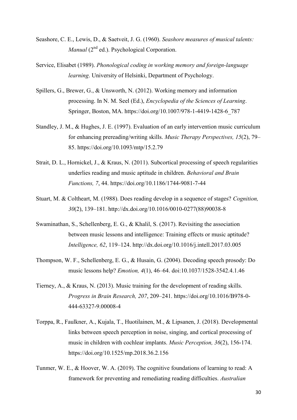- Seashore, C. E., Lewis, D., & Saetveit, J. G. (1960). *Seashore measures of musical talents: Manual* (2<sup>nd</sup> ed.). Psychological Corporation.
- Service, Elisabet (1989). *Phonological coding in working memory and foreign-language learning*. University of Helsinki, Department of Psychology.
- Spillers, G., Brewer, G., & Unsworth, N. (2012). Working memory and information processing. In N. M. Seel (Ed.), *Encyclopedia of the Sciences of Learning*. Springer, Boston, MA. https://doi.org/10.1007/978-1-4419-1428-6\_787
- Standley, J. M., & Hughes, J. E. (1997). Evaluation of an early intervention music curriculum for enhancing prereading/writing skills. *Music Therapy Perspectives, 15*(2), 79– 85. https://doi.org/10.1093/mtp/15.2.79
- Strait, D. L., Hornickel, J., & Kraus, N. (2011). Subcortical processing of speech regularities underlies reading and music aptitude in children. *Behavioral and Brain Functions, 7*, 44. https://doi.org/10.1186/1744-9081-7-44
- Stuart, M. & Coltheart, M. (1988). Does reading develop in a sequence of stages? *Cognition, 30*(2), 139–181. http://dx.doi.org/10.1016/0010-0277(88)90038-8
- Swaminathan, S., Schellenberg, E. G., & Khalil, S. (2017). Revisiting the association between music lessons and intelligence: Training effects or music aptitude? *Intelligence, 62*, 119–124. http://dx.doi.org/10.1016/j.intell.2017.03.005
- Thompson, W. F., Schellenberg, E. G., & Husain, G. (2004). Decoding speech prosody: Do music lessons help? *Emotion, 4*(1), 46–64. doi:10.1037/1528-3542.4.1.46
- Tierney, A., & Kraus, N. (2013). Music training for the development of reading skills. *Progress in Brain Research, 207*, 209–241. https://doi.org/10.1016/B978-0- 444-63327-9.00008-4
- Torppa, R., Faulkner, A., Kujala, T., Huotilainen, M., & Lipsanen, J. (2018). Developmental links between speech perception in noise, singing, and cortical processing of music in children with cochlear implants. *Music Perception, 36*(2), 156-174. https://doi.org/10.1525/mp.2018.36.2.156
- Tunmer, W. E., & Hoover, W. A. (2019). The cognitive foundations of learning to read: A framework for preventing and remediating reading difficulties. *Australian*